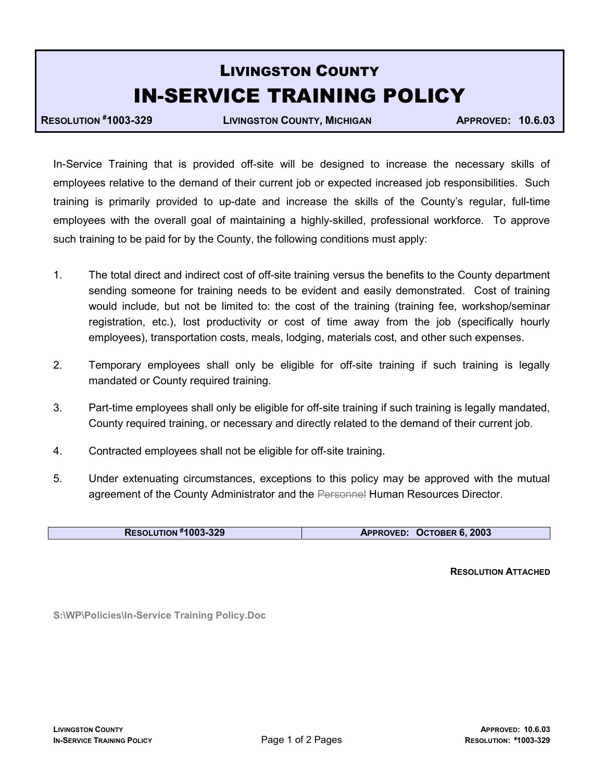## LIVINGSTON COUNTY IN-SERVICE TRAINING POLICY

RESOLUTION #1003-329 LIVINGSTON COUNTY, MICHIGAN APPROVED: 10.6.03

In-Service Training that is provided off-site will be designed to increase the necessary skills of employees relative to the demand of their current job or expected increased job responsibilities. Such training is primarily provided to up-date and increase the skills of the County's regular, full-time employees with the overall goal of maintaining a highly-skilled, professional workforce. To approve such training to be paid for by the County, the following conditions must apply:

- 1. The total direct and indirect cost of off-site training versus the benefits to the County department sending someone for training needs to be evident and easily demonstrated. Cost of training would include, but not be limited to: the cost of the training (training fee, workshop/seminar registration, etc.), lost productivity or cost of time away from the job (specifically hourly employees), transportation costs, meals, lodging, materials cost, and other such expenses.
- 2. Temporary employees shall only be eligible for off-site training if such training is legally mandated or County required training.
- 3. Part-time employees shall only be eligible for off-site training if such training is legally mandated, County required training, or necessary and directly related to the demand of their current job.
- 4. Contracted employees shall not be eligible for off-site training.
- 5. Under extenuating circumstances, exceptions to this policy may be approved with the mutual agreement of the County Administrator and the Personnel Human Resources Director.

| <b>RESOLUTION #1003-329</b> | APPROVED: OCTOBER 6, 2003 |
|-----------------------------|---------------------------|
|-----------------------------|---------------------------|

RESOLUTION ATTACHED

S:\WP\Policies\In-Service Training Policy.Doc